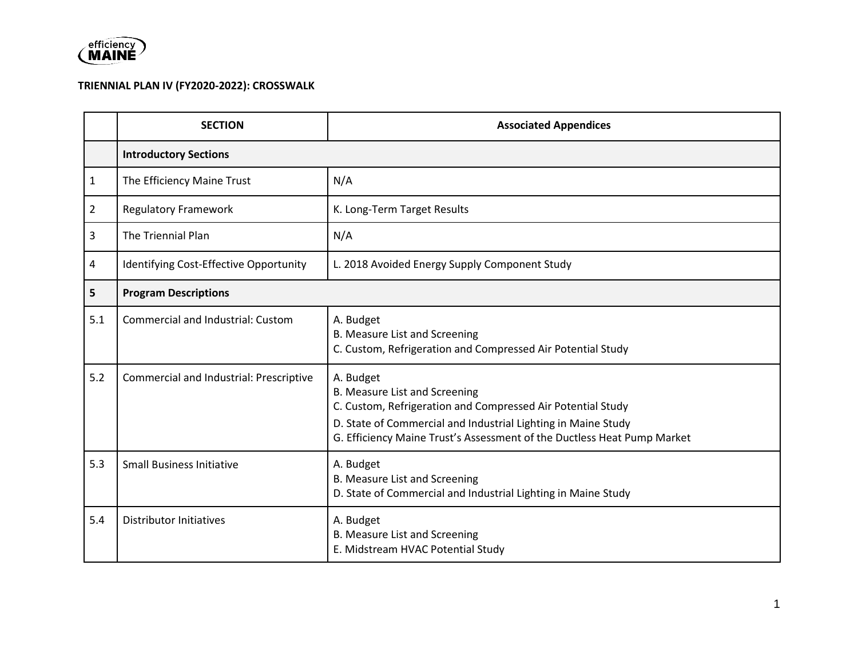

## **TRIENNIAL PLAN IV (FY2020-2022): CROSSWALK**

|                | <b>SECTION</b>                          | <b>Associated Appendices</b>                                                                                                                                                                                                                          |
|----------------|-----------------------------------------|-------------------------------------------------------------------------------------------------------------------------------------------------------------------------------------------------------------------------------------------------------|
|                | <b>Introductory Sections</b>            |                                                                                                                                                                                                                                                       |
| 1              | The Efficiency Maine Trust              | N/A                                                                                                                                                                                                                                                   |
| $\overline{2}$ | <b>Regulatory Framework</b>             | K. Long-Term Target Results                                                                                                                                                                                                                           |
| 3              | The Triennial Plan                      | N/A                                                                                                                                                                                                                                                   |
| 4              | Identifying Cost-Effective Opportunity  | L. 2018 Avoided Energy Supply Component Study                                                                                                                                                                                                         |
| 5              | <b>Program Descriptions</b>             |                                                                                                                                                                                                                                                       |
| 5.1            | Commercial and Industrial: Custom       | A. Budget<br>B. Measure List and Screening<br>C. Custom, Refrigeration and Compressed Air Potential Study                                                                                                                                             |
| 5.2            | Commercial and Industrial: Prescriptive | A. Budget<br>B. Measure List and Screening<br>C. Custom, Refrigeration and Compressed Air Potential Study<br>D. State of Commercial and Industrial Lighting in Maine Study<br>G. Efficiency Maine Trust's Assessment of the Ductless Heat Pump Market |
| 5.3            | <b>Small Business Initiative</b>        | A. Budget<br>B. Measure List and Screening<br>D. State of Commercial and Industrial Lighting in Maine Study                                                                                                                                           |
| 5.4            | <b>Distributor Initiatives</b>          | A. Budget<br>B. Measure List and Screening<br>E. Midstream HVAC Potential Study                                                                                                                                                                       |